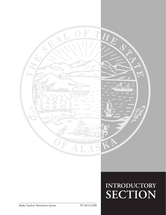

# **INTRODUCTORY SECTION**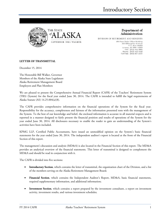



Department of Administration

DIVISION OF RETIREMENT AND BENEFITS 6th Floor State Office Building 333 Willoughby Avenue P.O. Box 110203 Juneau, AK 99811-0203<br>FAX: (907) 465-3086 Phone: (907) 465-4460 Toll-Free: (800) 821-2251

#### **LETTER OF TRANSMITTAL**

December 15, 2014

The Honorable Bill Walker, Governor Members of the Alaska State Legislature Alaska Retirement Management Board Employers and Plan Members

We are pleased to present the Comprehensive Annual Financial Report (CAFR) of the Teachers' Retirement System (TRS) (System) for the fiscal year ended June 30, 2014. The CAFR is intended to fulfill the legal requirements of Alaska Statute (AS) 14.25.004(a)(8).

The CAFR provides comprehensive information on the financial operations of the System for the fiscal year. Responsibility for the accuracy, completeness and fairness of the information presented rests with the management of the System. To the best of our knowledge and belief, the enclosed information is accurate in all material respects and is reported in a manner designed to fairly present the financial position and results of operations of the System for the year ended June 30, 2014. All disclosures necessary to enable the reader to gain an understanding of the System's activities have been included.

KPMG LLP, Certified Public Accountants, have issued an unmodified opinion on the System's basic financial statements for the year ended June 30, 2014. The independent auditor's report is located at the front of the Financial Section of this report.

The management's discussion and analysis (MD&A) is also located in the Financial Section of this report. The MD&A provides an analytical overview of the financial statements. This letter of transmittal is designed to complement the MD&A and should be read in conjunction with it.

The CAFR is divided into five sections:

- **Introductory Section**, which contains the letter of transmittal, the organization chart of the Division, and a list of the members serving on the Alaska Retirement Management Board;
- **Financial Section**, which contains the Independent Auditor's Report, MD&A, basic financial statements, required supplementary information, and additional information;
- **Investment Section**, which contains a report prepared by the investment consultant, a report on investment activity, investment results, and various investment schedules;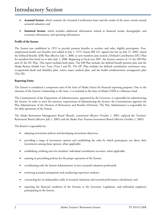- **Actuarial Section**, which contains the Actuarial Certification letter and the results of the most current annual actuarial valuation; and
- **Statistical Section**, which includes additional information related to financial trends, demographic and economic information, and operating information.

#### **Profile of the System**

The System was established in 1955 to provide pension benefits to teachers and other eligible participants. Postemployment health care benefits were added in July 1, 1975. Senate Bill 141, signed into law on July 27, 2005, closed the Defined Benefits (DB) Plan effective July 1, 2006, to new members and created a Defined Contribution (DC) Plan for members first hired on or after July 1, 2006. Beginning in fiscal year 2007, the System consists of: (1) the DB Plan and (2) the DC Plan. This report includes both plans. The DB Plan includes the defined benefit pension plan and the Alaska Retiree Health Care Trust (Tiers I and II). The DC Plan includes the defined contribution retirement trust, occupational death and disability plan, retiree major medical plan, and the health reimbursement arrangement plan (Tier III).

#### **Reporting Entity**

The System is considered a component unit of the State of Alaska (State) for financial reporting purposes. Due to the closeness of the System's relationship to the State, it is included in the State of Alaska CAFR as a fiduciary fund.

The Commissioner of the Department of Administration, appointed by the Governor, is responsible for administering the System. In order to meet the statutory requirements of administering the System, the Commissioner appoints the Plan Administrator of the Division of Retirement and Benefits (Division). The Plan Administrator is responsible for the daily operations of the System.

The Alaska Retirement Management Board (Board), constituted effective October 1, 2005, replaced the Teachers' Retirement Board (effective July 1, 2005) and the Alaska State Pension Investment Board (effective October 1, 2005).

The Board is responsible for:

- adopting investment policies and developing investment objectives;
- providing a range of investment options and establishing the rules by which participants can direct their investments among those options, when applicable;
- establishing crediting rates for members' individual contribution accounts, when applicable;
- assisting in prescribing policies for the proper operation of the System;
- coordinating with the System Administrator to have actuarial valuations performed;
- reviewing actuarial assumptions and conducting experience analyses;
- contracting for an independent audit of actuarial valuations and external performance calculations; and
- reporting the financial condition of the Systems to the Governor, Legislature, and individual employers participating in the System.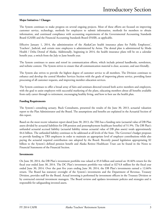#### **Major Initiatives / Changes**

The System continues to make progress on several ongoing projects. Most of these efforts are focused on improving customer service, technology, methods for employers to submit information, methods for members to obtain information, and continued compliance with accounting requirements of the Governmental Accounting Standards Board (GASB) and the Financial Accounting Standards Board (FASB), as applicable.

Effective January 1, 2014, the administration of the AlaskaCare health insurance plans for Public Employees', Teachers', Judicial, and certain state employees is administered by Aetna. The dental plan is administered by Moda Health / Delta Dental of Alaska. Additionally, beginning in 2014, the health insurance plans will be on a calendar benefit year, a switch from the July to June benefit year.

The System continues to assess and retool its communication efforts, which include printed handbooks, newsletters, and website content. The System strives to ensure that all communication material is clear, accurate, and user-friendly.

The System also strives to provide the highest degree of customer service to all members. The Division continues to enhance and develop the central Member Services Section with the goals of improving phone service, providing faster processing of all customer requests, and improving member education services.

The System continues to offer a broad array of fairs and seminars directed toward both active members and employers, with the goal to assist employers with successful marketing of the plans, educating members about all benefits available from early career through to retirement, encouraging healthy living, and how to best use the health plan.

#### **Funding Requirements**

The System's consulting actuary, Buck Consultants, presented the results of the June 30, 2013, actuarial valuation report to the Plan Administrator and the Board. The assumptions and benefits are explained in the Actuarial Section of this report.

Based on the most recent valuation report dated June 30, 2013, the TRS has a funding ratio (actuarial value of DB Plan assets divided by actuarial liabilities for DB pension and postemployment healthcare benefits) of 51.9%. The DB Plan's unfunded actuarial accrued liability (actuarial liability minus actuarial value of DB plan assets) totals approximately \$4.6 billion. The unfunded liability continues to be addressed at all levels of the State. The Governor's budget proposes to provide funding to TRS employers in order to maintain an appropriate level of employer contributions while also paying the actuarial required contribution rate adopted by the Board. Recently passed legislation appropriating \$2 billion to the System's defined pension benefit and Alaska Retiree Healthcare Trust can be found in the Notes to Financial Statements of the Financial Section.

#### **Investments**

On June 30, 2014, the DB Plan's investment portfolio was valued at \$5.8 billion and earned an 18.46% return for the fiscal year ended June 30, 2014. The DC Plan's investment portfolio was valued at \$274.8 million for the fiscal year ended June 30, 2014. Over the past five years ending June 30, 2014, the DB Plan's investments earned a 12.66% return. The Board has statutory oversight of the System's investments and the Department of Revenue, Treasury Division, provides staff for the Board. Actual investing is performed by investment officers in the Treasury Division or by contracted external investment managers. The Board reviews and updates investment policies and strategies and is responsible for safeguarding invested assets.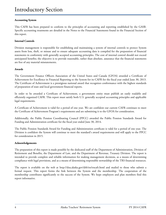#### **Accounting System**

This CAFR has been prepared to conform to the principles of accounting and reporting established by the GASB. Specific accounting treatments are detailed in the Notes to the Financial Statements found in the Financial Section of this report.

#### **Internal Controls**

Division management is responsible for establishing and maintaining a system of internal controls to protect System assets from loss, theft, or misuse and to ensure adequate accounting data is compiled for the preparation of financial statements in conformity with generally accepted accounting principles. The cost of internal control should not exceed anticipated benefits; the objective is to provide reasonable, rather than absolute, assurance that the financial statements are free of any material misstatements.

#### **Awards**

The Government Finance Officers Association of the United States and Canada (GFOA) awarded a Certificate of Achievement for Excellence in Financial Reporting to the System for its CAFR for the fiscal year ended June 30, 2013. The Certificate of Achievement is a prestigious national award that recognizes conformance with the highest standards of preparation of state and local government financial reports.

In order to be awarded a Certificate of Achievement, a government entity must publish an easily readable and efficiently organized CAFR. This report must satisfy both U.S. generally accepted accounting principles and applicable legal requirements.

A Certificate of Achievement is valid for a period of one year. We are confident our current CAFR continues to meet the Certificate of Achievement Program's requirements and are submitting it to the GFOA for consideration.

Additionally, the Public Pension Coordinating Council (PPCC) awarded the Public Pension Standards Award for Funding and Administration certificate for the fiscal year ended June 30, 2014.

The Public Pension Standards Award for Funding and Administration certificate is valid for a period of one year. The Division is confident the System will continue to meet the standard's award requirements and will apply to the PPCC for consideration in 2015.

#### **Acknowledgements**

The preparation of this report is made possible by the dedicated staff of the Department of Administration, Division of Retirement and Benefits, the Department of Law, and the Department of Revenue, Treasury Division. The report is intended to provide complete and reliable information for making management decisions, as a means of determining compliance with legal provisions, and as a means of determining responsible stewardship of the TRS financial resources.

The report is available on the web at http://doa.alaska.gov/drb/trs/trscafr.html and mailed to those who submit a formal request. This report forms the link between the System and the membership. The cooperation of the membership contributes significantly to the success of the System. We hope employers and plan members find this report informative.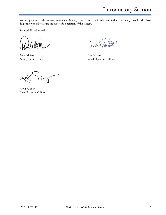Introductory Section

We are grateful to the Alaska Retirement Management Board, staff, advisors, and to the many people who have diligently worked to assure the successful operation of the System.

Respectfully submitted,

Amy Erickson Jim Puckett

Acting Commissioner Chief Operations Officer

Kevin Worley Chief Financial Officer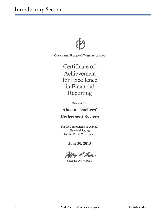

Government Finance Officers Association

Certificate of Achievement for Excellence in Financial Reporting

Presented to

# **Alaska Teachers' Retirement System**

For its Comprehensive Annual **Financial Report** for the Fiscal Year Ended

June 30, 2013

**Executive Director/CEO**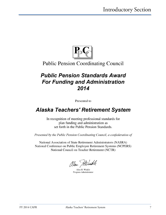

# **Public Pension Coordinating Council**

# **Public Pension Standards Award For Funding and Administration** 2014

Presented to

# **Alaska Teachers' Retirement System**

In recognition of meeting professional standards for plan funding and administration as set forth in the Public Pension Standards.

Presented by the Public Pension Coordinating Council, a confederation of

National Association of State Retirement Administrators (NASRA) National Conference on Public Employee Retirement Systems (NCPERS) National Council on Teacher Retirement (NCTR)

alan Hilindle

Alan H. Winkle Program Administrator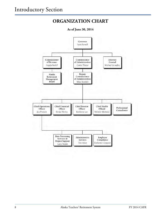# **ORGANIZATION CHART**

#### **As of June 30, 2014**

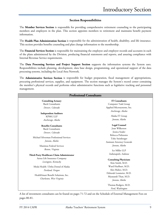#### **Section Responsibilities**

The **Member Services Section** is responsible for providing comprehensive retirement counseling to the participating members and employers in the plan. This section appoints members to retirement and maintains benefit payment information.

The **Health Plan Administration Section** is responsible for the administration of health, disability, and life insurance. This section provides benefits counseling and plan change information to the membership.

The **Financial Services Section** is responsible for maintaining the employee and employer records and accounts in each of the plans administered by the Division, producing financial statements and reports, and assuring compliance with Internal Revenue Service requirements.

The **Data Processing Services and Project Support Section** supports the information systems the System uses. Responsibilities include planning, development, data base design, programming, and operational support of the data processing systems, including the Local Area Network.

The **Administrative Services Section** is responsible for budget preparation, fiscal management of appropriations, procuring professional services, supplies, and equipment. The section manages the System's record center containing the member's physical records and performs other administrative functions such as legislative tracking and personnel management.

| <b>Professional Consultants</b>                                  |                                                                  |
|------------------------------------------------------------------|------------------------------------------------------------------|
| <b>Consulting Actuary</b>                                        | <b>IT Consultants</b>                                            |
| <b>Buck Consultants</b>                                          | Computer Task Group                                              |
| Denver, Colorado                                                 | Applied Microsystems, Inc.                                       |
|                                                                  | Anchorage, Alaska                                                |
| <b>Independent Auditors</b>                                      |                                                                  |
| <b>KPMG LLP</b>                                                  | Alaska IT Group                                                  |
| Anchorage, Alaska                                                | Juneau, Alaska                                                   |
| <b>Benefits Consultants</b>                                      | <b>Legal Counsel</b>                                             |
| <b>Buck Consultants</b>                                          | Joan Wilkerson                                                   |
| Denver, Colorado                                                 | Jessica Srader                                                   |
|                                                                  | Rebecca Polizzotto                                               |
| Michael Silverman Professional Services                          | Toby Steinberger                                                 |
| Juneau, Alaska                                                   | <b>Assistant Attorney Generals</b>                               |
| Maximus Federal Services                                         | Juneau, Alaska                                                   |
| Reston, Virginia                                                 | Ice Miller LLP                                                   |
| Third-Party Healthcare Claim Administrator                       | Indianapolis, Indiana                                            |
| Aetna Life Insurance Company<br>Lexington, Kentucky              | <b>Consulting Physicians</b><br>Kim Smith, M.D.                  |
| Moda Health / Delta Dental of Alaska                             | Ward Hurlburt, M.D.                                              |
| Portland, Oregon                                                 | Alex Malter, M.D.                                                |
| HealthSmart Benefit Solutions, Inc.<br>Charleston, West Virginia | Deborah Lessmeier, M.D.<br>Myanandi Than, M.D.<br>Juneau, Alaska |
|                                                                  | Thomas Rodgers, M.D.<br>Ford, Washington                         |

A list of investment consultants can be found on pages 71-72 and on the Schedule of External Management Fees on pages 80-81.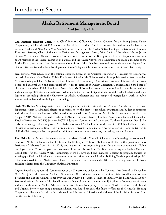### **Alaska Retirement Management Board**

**As of June 30, 2014** 

**Gail (Anagick) Schubert, Chair,** is the Chief Executive Officer and General Counsel for the Bering Straits Native Corporation, and President/CEO of several of its subsidiary entities. She is an attorney licensed to practice law in the states of Alaska and New York. Mrs. Schubert serves as Chair of the Alaska Native Heritage Center, Chair of Akeela Treatment Services, Chair of the Alaska Retirement Management Board, Vice Chair of the Alaska Native Justice Center, Vice Chair of Khoanic Broadcast Corporation, Treasurer of the Bering Straits Native Corporation, and as a board member of the Alaska Federation of Natives, and the Alaska Native Arts Foundation. She is also a member of the Alaska Rural Justice and Law Enforcement Commission. Mrs. Schubert received her undergraduate degree from Stanford University, and holds a law degree and master's degree in business administration from Cornell University.

**Sam Trivette, Vice-Chair,** is on the national executive board of the American Federation of Teachers retirees and was formerly President of the Retired Public Employees of Alaska. Mr. Trivette retired from public service after more than 32 years serving as Chief Probation Officer, Director of Community Corrections, Executive Director of the Parole Board, and as a probation and correctional officer. He is President of Quality Corrections Services, and on the board of directors of the Alaska Public Employees Association. Mr. Trivette has also served as an officer in a number of national and statewide professional organizations as well as many not-for-profit organizations around Alaska. He has a bachelor's degree in psychology from the University of Alaska Anchorage and has completed postgraduate work in public administration, law and psychological counseling.

Gayle W. Harbo, Secretary, retired after teaching mathematics in Fairbanks for 25 years. She also served as math department chair, as advanced placement coordinator, on the district curriculum, evaluation and budget committees, and twice as chair of the Lathrop Self-Evaluation for Accreditation Committee. Ms. Harbo is a member of Alpha Delta Kappa, AARP, National Retired Teachers of Alaska, Fairbanks Retired Teachers Association, National Council of Teacher Retirement (NCTR) Systems, NCTR Education Committee, and the Alaska Teachers' Retirement Board. She is also a co-manager of a family trust. Ms. Harbo was named Alaska Teacher of the Year in 1989. She holds a Bachelor of Science in mathematics from North Carolina State University, and a master's degree in teaching from the University of Alaska Fairbanks, and has completed an additional 40 hours in mathematics, counseling, law and finance.

**Tom Brice** is the Business Representative for the Alaska District Council of Laborers administering the contracts in Southeast Alaska for Laborers Local 942 and Public Employees Local 71. He was elected to the position of Vice President of Laborers Local 942 in 2011, and has sat on the negotiating team for the state contract with Public Employees Local 71 for the past three contracts. Prior to this position, Mr. Brice was the Apprenticeship Outreach Coordinator for the Alaska Works Partnership. Here he developed and managed a statewide program focused on assisting qualified rural Alaskans to gain entrance to the various registered Alaskan Building Trade apprenticeships. Mr. Brice also served in the Alaska State House of Representatives between the 18th and 21st legislatures. He has a bachelor's degree from the University of Alaska Fairbanks.

**Angela Rodell** was appointed Commissioner of the Department of Revenue by Governor Sean Parnell in November, 2010. She joined the State of Alaska in September 2011. Prior to her current position, Ms. Rodell served as State Treasurer and Deputy Commissioner over the Department's Treasury, Permanent Fund Dividend, and Child Support Services divisions. Formerly, Ms. Rodell served as financial advisor to more than \$30 billion of transactions for state and state authorities in Alaska, Arkansas, California, Illinois, New Jersey, New York, North Carolina, Rhode Island, and Virginia. Prior to becoming a financial advisor, Ms. Rodell served as the finance officer for the Kentucky Housing Corporation. She has a Bachelor of Arts degree from Marquette University and a Master of Public Administration from the University of Kentucky.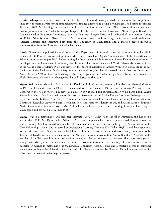**Kristin Erchinger** is currently finance director for the city of Seward, having worked for the city in finance positions since 1994 including a year serving simultaneously as finance director and acting city manager. She became the finance director in 2000. Ms. Erchinger is past president of the Alaska Government Finance Officers Association and represents that organization in the Alaska Municipal League. She also served on the Providence Alaska Region Board, the Graduate Medical Education Committee, the Alaska Municipal League Board, and the Board of the American Society for Public Administration, Alaska Chapter. Ms. Erchinger earned bachelor's degrees in international studies and Japanese language and literature, both from the University of Washington, and a master's degree in public administration from the University of Alaska Anchorage.

**Curtis Thayer** was appointed Commissioner of the Department of Administration by Governor Sean Parnell in January 2014. Prior to his current position, Mr. Thayer served as Deputy Commissioner of the Department of Administration since August 2012. Before joining the Department of Administration, he was Deputy Commissioner of the Department of Commerce, Community, and Economic Development since 2009. Mr. Thayer also serves as Chair of the Alaska Board of Marine Pilots and serves on the Board of Directors of Abused Women in Crisis. He is the past Chairman of the Anchorage Public Safety Advisory Commission, and has also served on the Board of Directors of Armed Services YMCA. Born in Anchorage, Mr. Thayer grew up in Alaska and graduated from the University of Alaska Fairbanks. He lives in Anchorage with his wife, Josie, and their son.

**Martin Pihl** came to Alaska in 1962 to work for Ketchikan Pulp Company, becoming President and General Manager in 1987 until his retirement in 1994. He then served as Acting Executive Director for the Alaska Permanent Fund Corporation in 1994-1995. Mr. Pihl serves as a director of National Bank of Alaska and on Wells Fargo Bank's Alaska Statewide Advisory Board, as Chairman of the Board of Governors of the Alaska Timber Insurance Exchange, and as a regent for Pacific Lutheran University. He is also a member of several advisory boards including Holland America-Westmark- Ketchikan Advisory Board, Ketchikan Ports and Harbors Advisory Board, and Alaska Airlines Southeast Alaska Community Advisory Board. Mr. Pihl holds a bachelor's degree in accounting from the University of Washington and has been a CPA since 1958.

**Sandra Ryan** is a mathematics and tech prep instructor at West Valley High School in Fairbanks, and has been a teacher since 1988. Ms. Ryan teaches Advanced Placement computer science as well as Advanced Placement statistics and accounting. She has worked as a member of two accreditation teams: one for Lathrop High School, the other for West Valley High School. She has served on Professional Learning Teams at West Valley High School, been appointed to the Fairbanks North Star Borough School District Teacher Evaluation team, and was recently nominated as BP Teacher of Excellence. She is a member of the National Education Association Alaska Board of Directors, and a member of the Fairbanks Education Association, serving for the past five years as treasurer. She is also manager of a family trust. Ms. Ryan earned a Bachelor of Science in communication at the University of Texas, Austin, Texas; a Bachelor of Science in mathematics at St. Edward's University, Austin, Texas; and a master's degree in computer science engineering at the University of Alaska Fairbanks. She was appointed by Governor Parnell to a seat reserved for a Teachers' Retirement System representative.